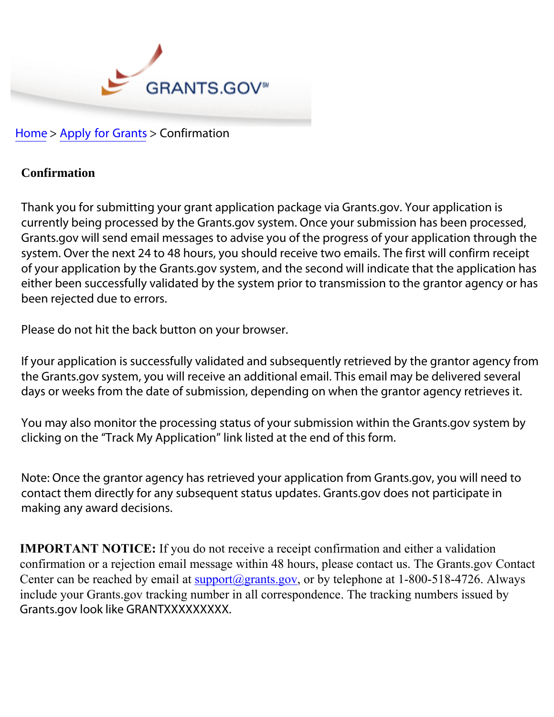

Home > Apply for Grants > Confirmation

## **Confirmation**

Thank you for submitting your grant application package via Grants.gov. Your application is currently being processed by the Grants.gov system. Once your submission has been processed, Grants.gov will send email messages to advise you of the progress of your application through the system. Over the next 24 to 48 hours, you should receive two emails. The first will confirm receipt of your application by the Grants.gov system, and the second will indicate that the application has either been successfully validated by the system prior to transmission to the grantor agency or has been rejected due to errors.

Please do not hit the back button on your browser.

If your application is successfully validated and subsequently retrieved by the grantor agency from the Grants.gov system, you will receive an additional email. This email may be delivered several days or weeks from the date of submission, depending on when the grantor agency retrieves it.

You may also monitor the processing status of your submission within the Grants.gov system by clicking on the "Track My Application" link listed at the end of this form.

Note: Once the grantor agency has retrieved your application from Grants.gov, you will need to contact them directly for any subsequent status updates. Grants.gov does not participate in making any award decisions.

**IMPORTANT NOTICE:** If you do not receive a receipt confirmation and either a validation confirmation or a rejection email message within 48 hours, please contact us. The Grants gov Contact Center can be reached by email at  $\frac{\text{support}(a)}{\text{grants.gov}}$ , or by telephone at 1-800-518-4726. Always include your Grants.gov tracking number in all correspondence. The tracking numbers issued by Grants.gov look like GRANTXXXXXXXXX.